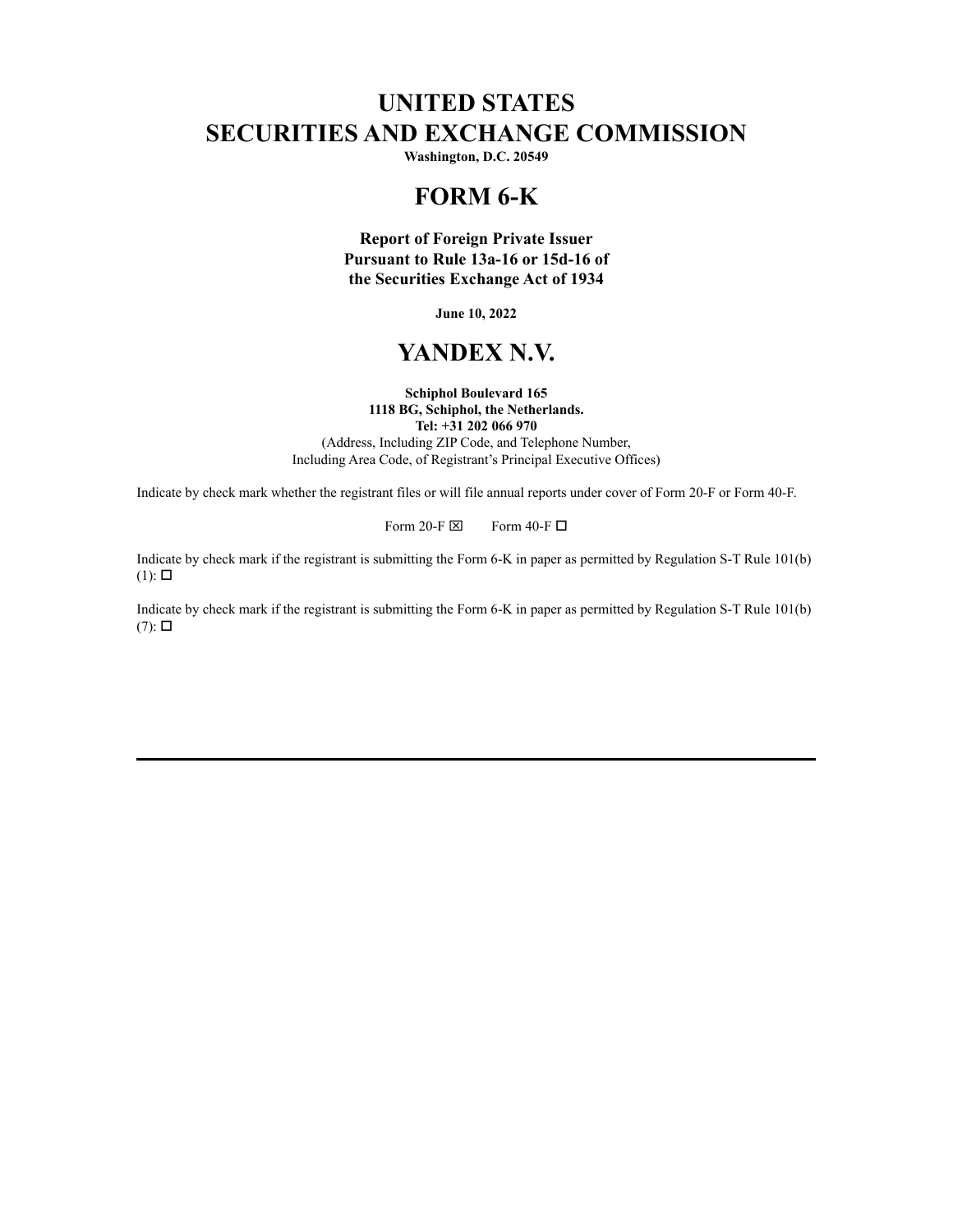# **UNITED STATES SECURITIES AND EXCHANGE COMMISSION**

**Washington, D.C. 20549**

## **FORM 6-K**

**Report of Foreign Private Issuer Pursuant to Rule 13a-16 or 15d-16 of the Securities Exchange Act of 1934**

**June 10, 2022**

# **YANDEX N.V.**

### **Schiphol Boulevard 165 1118 BG, Schiphol, the Netherlands. Tel: +31 202 066 970**

(Address, Including ZIP Code, and Telephone Number, Including Area Code, of Registrant's Principal Executive Offices)

Indicate by check mark whether the registrant files or will file annual reports under cover of Form 20-F or Form 40-F.

Form 20-F  $\boxtimes$  Form 40-F  $\Box$ 

Indicate by check mark if the registrant is submitting the Form 6-K in paper as permitted by Regulation S-T Rule 101(b)  $(1)$ :  $\square$ 

Indicate by check mark if the registrant is submitting the Form 6-K in paper as permitted by Regulation S-T Rule 101(b)  $(7)$ :  $\square$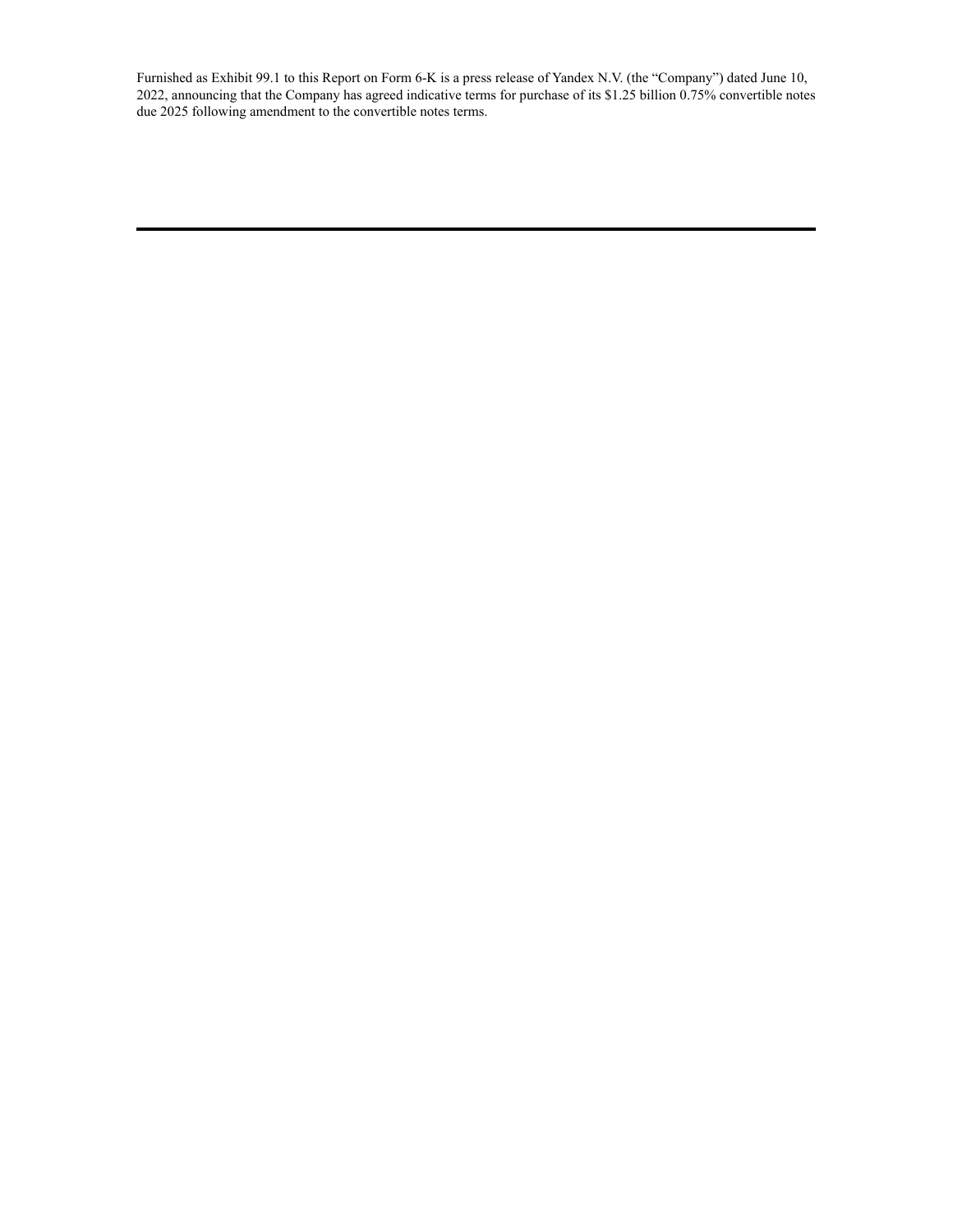Furnished as Exhibit 99.1 to this Report on Form 6-K is a press release of Yandex N.V. (the "Company") dated June 10, 2022, announcing that the Company has agreed indicative terms for purchase of its \$1.25 billion 0.75% convertible notes due 2025 following amendment to the convertible notes terms.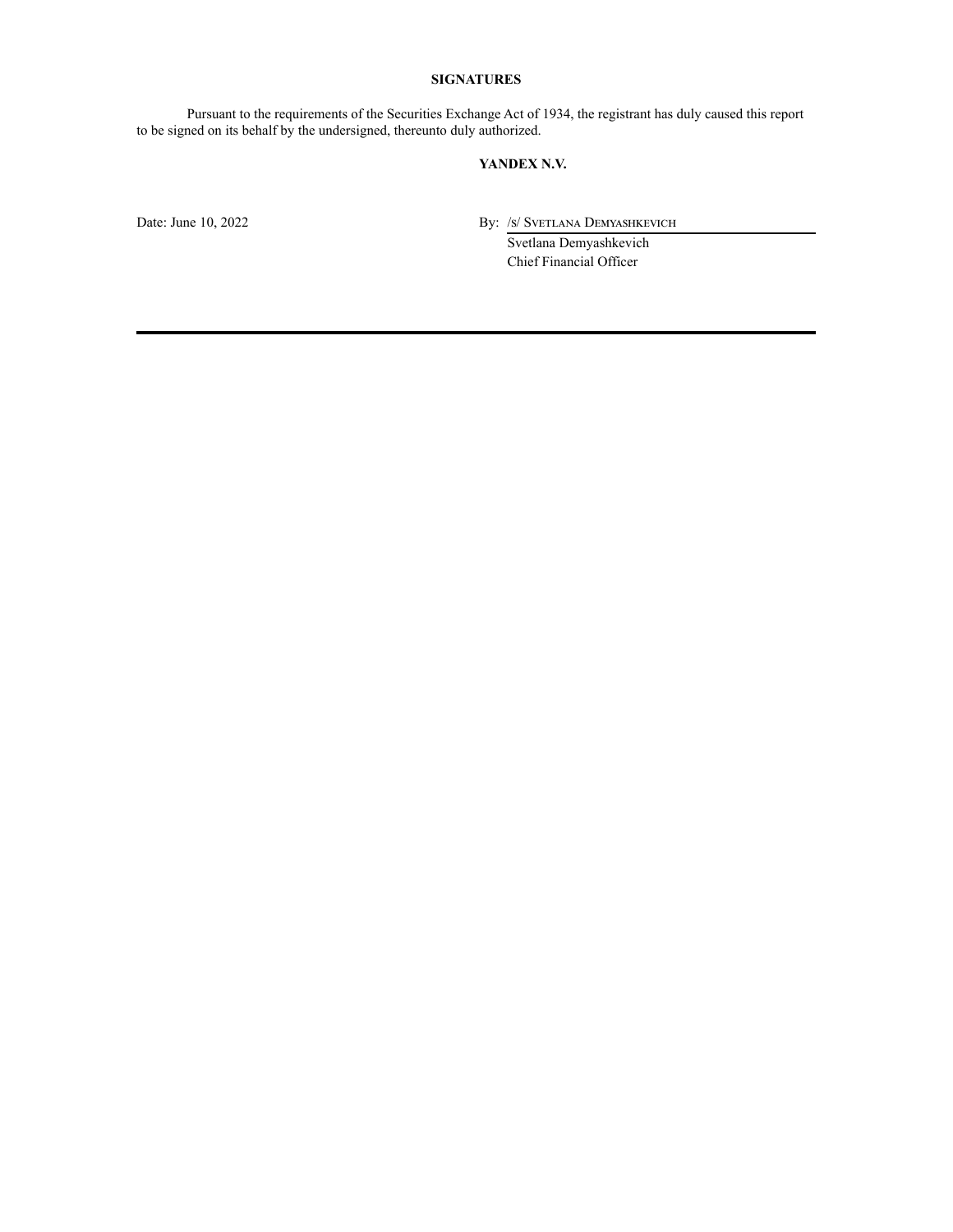### **SIGNATURES**

Pursuant to the requirements of the Securities Exchange Act of 1934, the registrant has duly caused this report to be signed on its behalf by the undersigned, thereunto duly authorized.

## **YANDEX N.V.**

Date: June 10, 2022 By: /s/ Svetlana Demyashkevich

Svetlana Demyashkevich Chief Financial Officer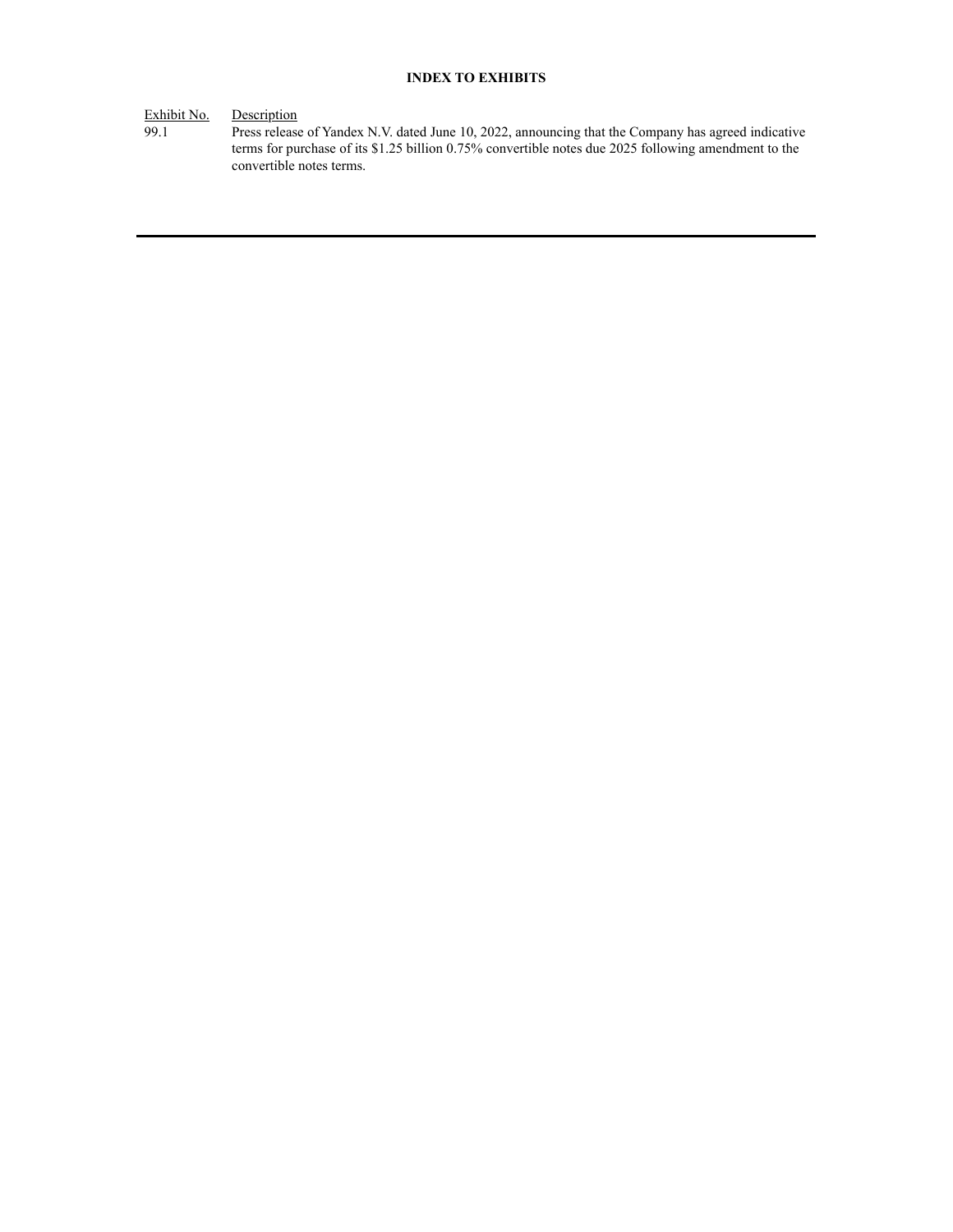## **INDEX TO EXHIBITS**

Exhibit No. Description<br>99.1 Press release

99.1 Press release of Yandex N.V. dated June 10, 2022, announcing that the Company has agreed indicative terms for purchase of its \$1.25 billion 0.75% convertible notes due 2025 following amendment to the convertible notes terms.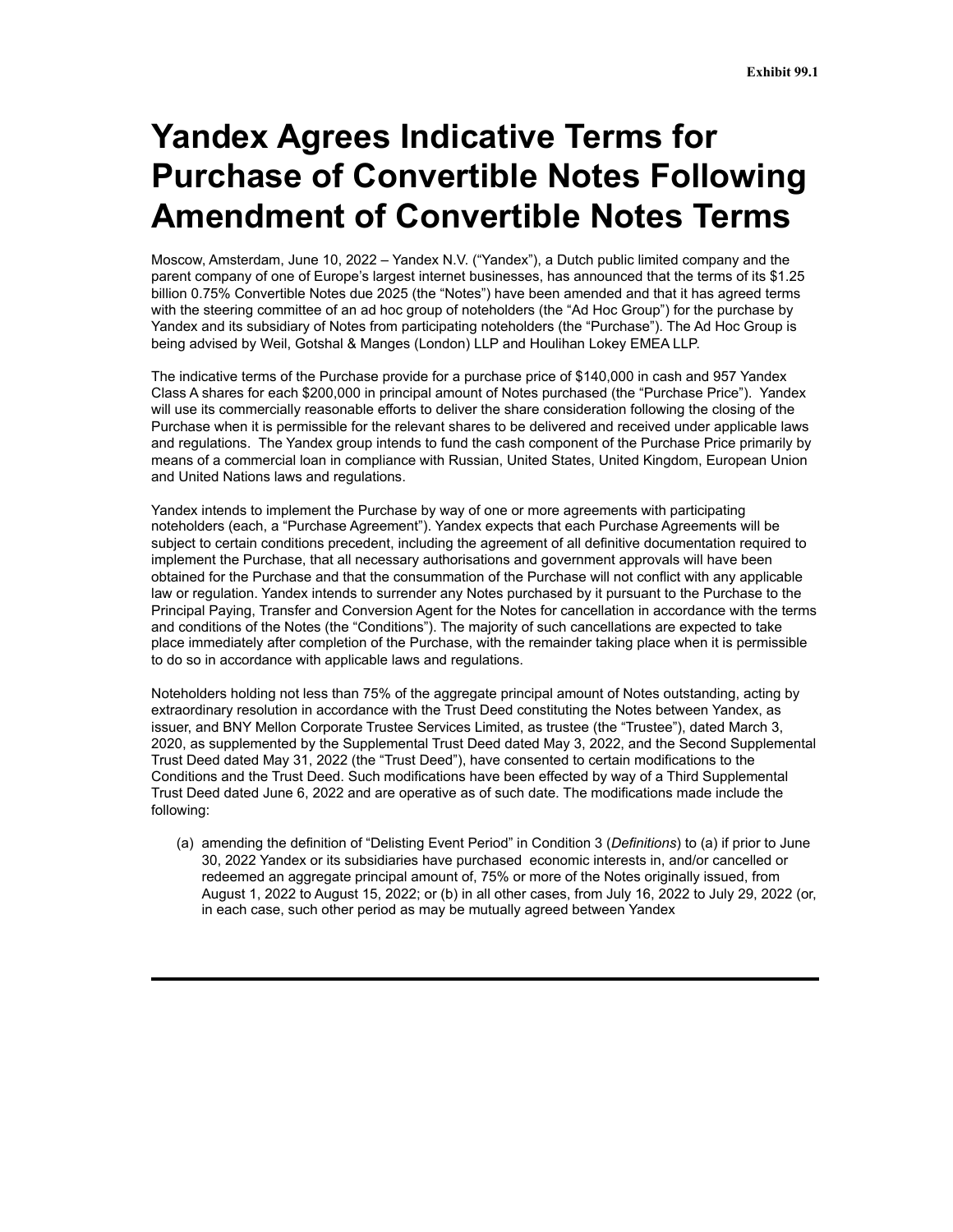# **Yandex Agrees Indicative Terms for Purchase of Convertible Notes Following Amendment of Convertible Notes Terms**

Moscow, Amsterdam, June 10, 2022 – Yandex N.V. ("Yandex"), a Dutch public limited company and the parent company of one of Europe's largest internet businesses, has announced that the terms of its \$1.25 billion 0.75% Convertible Notes due 2025 (the "Notes") have been amended and that it has agreed terms with the steering committee of an ad hoc group of noteholders (the "Ad Hoc Group") for the purchase by Yandex and its subsidiary of Notes from participating noteholders (the "Purchase"). The Ad Hoc Group is being advised by Weil, Gotshal & Manges (London) LLP and Houlihan Lokey EMEA LLP.

The indicative terms of the Purchase provide for a purchase price of \$140,000 in cash and 957 Yandex Class A shares for each \$200,000 in principal amount of Notes purchased (the "Purchase Price"). Yandex will use its commercially reasonable efforts to deliver the share consideration following the closing of the Purchase when it is permissible for the relevant shares to be delivered and received under applicable laws and regulations. The Yandex group intends to fund the cash component of the Purchase Price primarily by means of a commercial loan in compliance with Russian, United States, United Kingdom, European Union and United Nations laws and regulations.

Yandex intends to implement the Purchase by way of one or more agreements with participating noteholders (each, a "Purchase Agreement"). Yandex expects that each Purchase Agreements will be subject to certain conditions precedent, including the agreement of all definitive documentation required to implement the Purchase, that all necessary authorisations and government approvals will have been obtained for the Purchase and that the consummation of the Purchase will not conflict with any applicable law or regulation. Yandex intends to surrender any Notes purchased by it pursuant to the Purchase to the Principal Paying, Transfer and Conversion Agent for the Notes for cancellation in accordance with the terms and conditions of the Notes (the "Conditions"). The majority of such cancellations are expected to take place immediately after completion of the Purchase, with the remainder taking place when it is permissible to do so in accordance with applicable laws and regulations.

Noteholders holding not less than 75% of the aggregate principal amount of Notes outstanding, acting by extraordinary resolution in accordance with the Trust Deed constituting the Notes between Yandex, as issuer, and BNY Mellon Corporate Trustee Services Limited, as trustee (the "Trustee"), dated March 3, 2020, as supplemented by the Supplemental Trust Deed dated May 3, 2022, and the Second Supplemental Trust Deed dated May 31, 2022 (the "Trust Deed"), have consented to certain modifications to the Conditions and the Trust Deed. Such modifications have been effected by way of a Third Supplemental Trust Deed dated June 6, 2022 and are operative as of such date. The modifications made include the following:

(a) amending the definition of "Delisting Event Period" in Condition 3 (*Definitions*) to (a) if prior to June 30, 2022 Yandex or its subsidiaries have purchased economic interests in, and/or cancelled or redeemed an aggregate principal amount of, 75% or more of the Notes originally issued, from August 1, 2022 to August 15, 2022; or (b) in all other cases, from July 16, 2022 to July 29, 2022 (or, in each case, such other period as may be mutually agreed between Yandex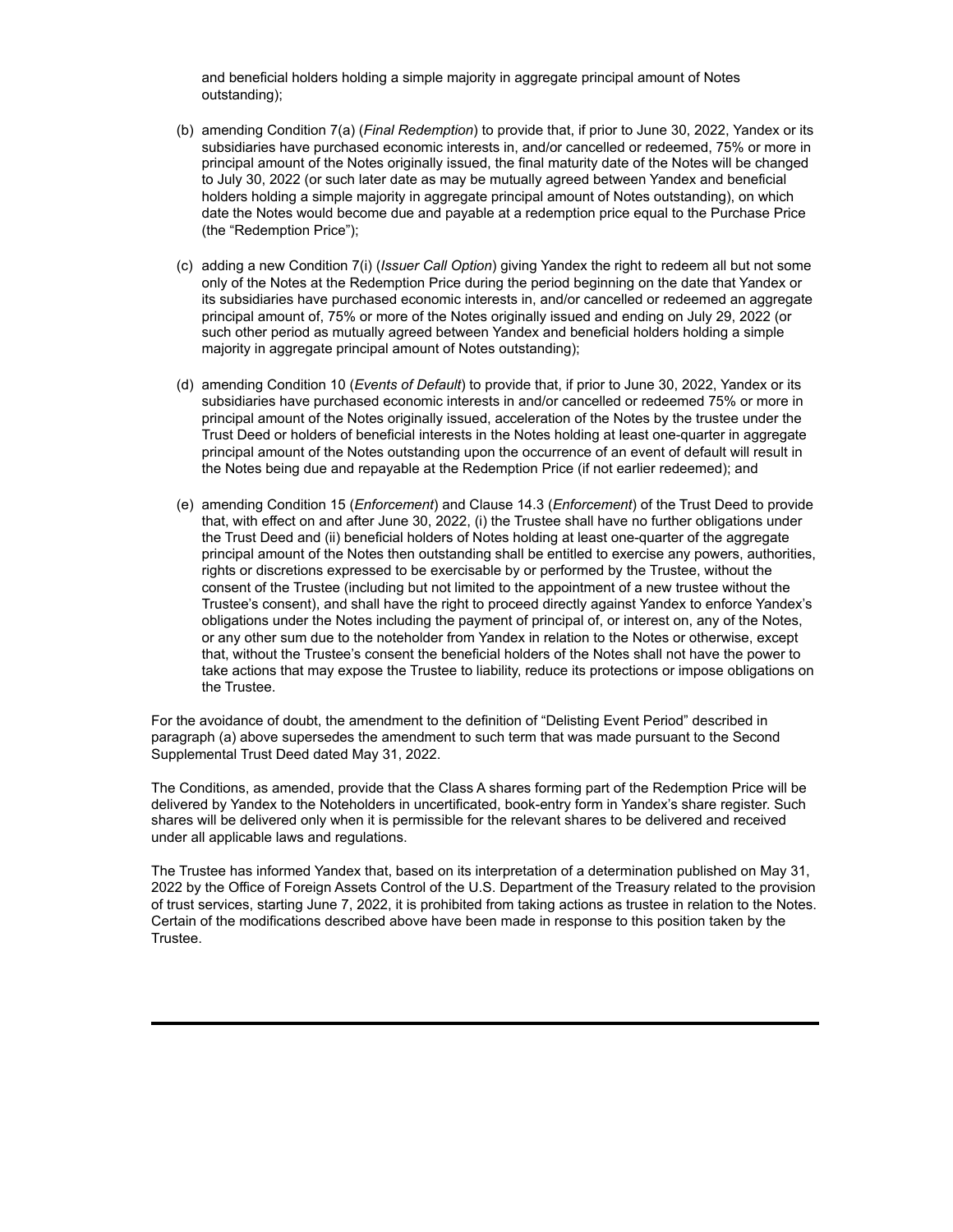and beneficial holders holding a simple majority in aggregate principal amount of Notes outstanding);

- (b) amending Condition 7(a) (*Final Redemption*) to provide that, if prior to June 30, 2022, Yandex or its subsidiaries have purchased economic interests in, and/or cancelled or redeemed, 75% or more in principal amount of the Notes originally issued, the final maturity date of the Notes will be changed to July 30, 2022 (or such later date as may be mutually agreed between Yandex and beneficial holders holding a simple majority in aggregate principal amount of Notes outstanding), on which date the Notes would become due and payable at a redemption price equal to the Purchase Price (the "Redemption Price");
- (c) adding a new Condition 7(i) (*Issuer Call Option*) giving Yandex the right to redeem all but not some only of the Notes at the Redemption Price during the period beginning on the date that Yandex or its subsidiaries have purchased economic interests in, and/or cancelled or redeemed an aggregate principal amount of, 75% or more of the Notes originally issued and ending on July 29, 2022 (or such other period as mutually agreed between Yandex and beneficial holders holding a simple majority in aggregate principal amount of Notes outstanding);
- (d) amending Condition 10 (*Events of Default*) to provide that, if prior to June 30, 2022, Yandex or its subsidiaries have purchased economic interests in and/or cancelled or redeemed 75% or more in principal amount of the Notes originally issued, acceleration of the Notes by the trustee under the Trust Deed or holders of beneficial interests in the Notes holding at least one-quarter in aggregate principal amount of the Notes outstanding upon the occurrence of an event of default will result in the Notes being due and repayable at the Redemption Price (if not earlier redeemed); and
- (e) amending Condition 15 (*Enforcement*) and Clause 14.3 (*Enforcement*) of the Trust Deed to provide that, with effect on and after June 30, 2022, (i) the Trustee shall have no further obligations under the Trust Deed and (ii) beneficial holders of Notes holding at least one-quarter of the aggregate principal amount of the Notes then outstanding shall be entitled to exercise any powers, authorities, rights or discretions expressed to be exercisable by or performed by the Trustee, without the consent of the Trustee (including but not limited to the appointment of a new trustee without the Trustee's consent), and shall have the right to proceed directly against Yandex to enforce Yandex's obligations under the Notes including the payment of principal of, or interest on, any of the Notes, or any other sum due to the noteholder from Yandex in relation to the Notes or otherwise, except that, without the Trustee's consent the beneficial holders of the Notes shall not have the power to take actions that may expose the Trustee to liability, reduce its protections or impose obligations on the Trustee.

For the avoidance of doubt, the amendment to the definition of "Delisting Event Period" described in paragraph (a) above supersedes the amendment to such term that was made pursuant to the Second Supplemental Trust Deed dated May 31, 2022.

The Conditions, as amended, provide that the Class A shares forming part of the Redemption Price will be delivered by Yandex to the Noteholders in uncertificated, book-entry form in Yandex's share register. Such shares will be delivered only when it is permissible for the relevant shares to be delivered and received under all applicable laws and regulations.

The Trustee has informed Yandex that, based on its interpretation of a determination published on May 31, 2022 by the Office of Foreign Assets Control of the U.S. Department of the Treasury related to the provision of trust services, starting June 7, 2022, it is prohibited from taking actions as trustee in relation to the Notes. Certain of the modifications described above have been made in response to this position taken by the Trustee.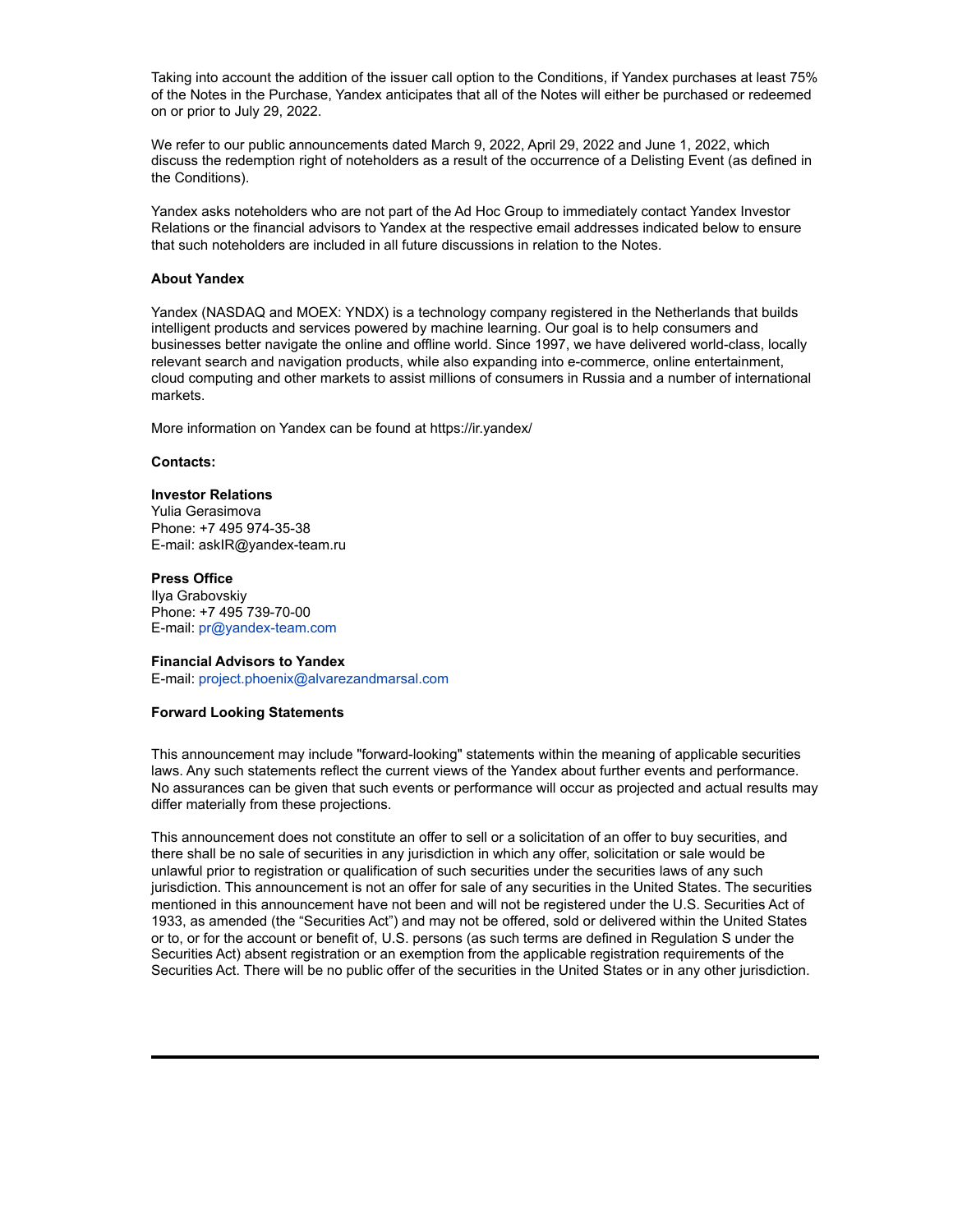Taking into account the addition of the issuer call option to the Conditions, if Yandex purchases at least 75% of the Notes in the Purchase, Yandex anticipates that all of the Notes will either be purchased or redeemed on or prior to July 29, 2022.

We refer to our public announcements dated March 9, 2022, April 29, 2022 and June 1, 2022, which discuss the redemption right of noteholders as a result of the occurrence of a Delisting Event (as defined in the Conditions).

Yandex asks noteholders who are not part of the Ad Hoc Group to immediately contact Yandex Investor Relations or the financial advisors to Yandex at the respective email addresses indicated below to ensure that such noteholders are included in all future discussions in relation to the Notes.

### **About Yandex**

Yandex (NASDAQ and MOEX: YNDX) is a technology company registered in the Netherlands that builds intelligent products and services powered by machine learning. Our goal is to help consumers and businesses better navigate the online and offline world. Since 1997, we have delivered world-class, locally relevant search and navigation products, while also expanding into e-commerce, online entertainment, cloud computing and other markets to assist millions of consumers in Russia and a number of international markets.

More information on Yandex can be found at https://ir.yandex/

### **Contacts:**

### **Investor Relations**

Yulia Gerasimova Phone: +7 495 974-35-38 E-mail: askIR@yandex-team.ru

### **Press Office**

Ilya Grabovskiy Phone: +7 495 739-70-00 E-mail: pr@yandex-team.com

### **Financial Advisors to Yandex**

E-mail: project.phoenix@alvarezandmarsal.com

### **Forward Looking Statements**

This announcement may include "forward-looking" statements within the meaning of applicable securities laws. Any such statements reflect the current views of the Yandex about further events and performance. No assurances can be given that such events or performance will occur as projected and actual results may differ materially from these projections.

This announcement does not constitute an offer to sell or a solicitation of an offer to buy securities, and there shall be no sale of securities in any jurisdiction in which any offer, solicitation or sale would be unlawful prior to registration or qualification of such securities under the securities laws of any such jurisdiction. This announcement is not an offer for sale of any securities in the United States. The securities mentioned in this announcement have not been and will not be registered under the U.S. Securities Act of 1933, as amended (the "Securities Act") and may not be offered, sold or delivered within the United States or to, or for the account or benefit of, U.S. persons (as such terms are defined in Regulation S under the Securities Act) absent registration or an exemption from the applicable registration requirements of the Securities Act. There will be no public offer of the securities in the United States or in any other jurisdiction.